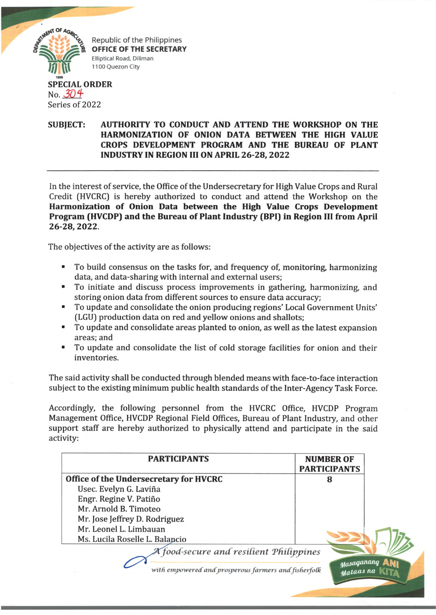

Republic of the Philippines **OFFICE OF THE SECRETARY Elliptical Road, Diliman 1100 Quezon City**

## **SPECIAL ORDER** No. *30* Series of 2022

## **SUBJECT: AUTHORITY TO CONDUCT AND ATTEND THE WORKSHOP ON THE HARMONIZATION OF ONION DATA BETWEEN THE HIGH VALUE CROPS DEVELOPMENT PROGRAM AND THE BUREAU OF PLANT INDUSTRY IN REGION III ON APRIL 26-28, 2022**

In the interest of service, the Office of the Undersecretary for High Value Crops and Rural Credit (HVCRC) is hereby authorized to conduct and attend the Workshop on the **Harmonization of Onion Data between the High Value Crops Development Program (HVCDP) and the Bureau of Plant Industry (BPI) in Region III from April 26-28,2022.**

The objectives of the activity are as follows:

- To build consensus on the tasks for, and frequency of, monitoring, harmonizing data, and data-sharing with internal and external users;
- To initiate and discuss process improvements in gathering, harmonizing, and storing onion data from different sources to ensure data accuracy;
- To update and consolidate the onion producing regions' Local Government Units' (LGU) production data on red and yellow onions and shallots;
- To update and consolidate areas planted to onion, as well as the latest expansion areas; and
- To update and consolidate the list of cold storage facilities for onion and their inventories.

The said activity shall be conducted through blended means with face-to-face interaction subject to the existing minimum public health standards of the Inter-Agency Task Force.

Accordingly, the following personnel from the HVCRC Office, HVCDP Program Management Office, HVCDP Regional Field Offices, Bureau of Plant Industry, and other support staff are hereby authorized to physically attend and participate in the said activity:

| <b>PARTICIPANTS</b>                                  | <b>NUMBER OF</b><br><b>PARTICIPANTS</b> |  |
|------------------------------------------------------|-----------------------------------------|--|
| Office of the Undersecretary for HVCRC               | 8                                       |  |
| Usec. Evelyn G. Laviña                               |                                         |  |
| Engr. Regine V. Patiño                               |                                         |  |
| Mr. Arnold B. Timoteo                                |                                         |  |
| Mr. Jose Jeffrey D. Rodriguez                        |                                         |  |
| Mr. Leonel L. Limbauan                               |                                         |  |
| Ms. Lucila Roselle L. Balancio                       |                                         |  |
| A food-secure and resilient Philippines              |                                         |  |
|                                                      |                                         |  |
| with empowered and prosperous farmers and fisherfolk |                                         |  |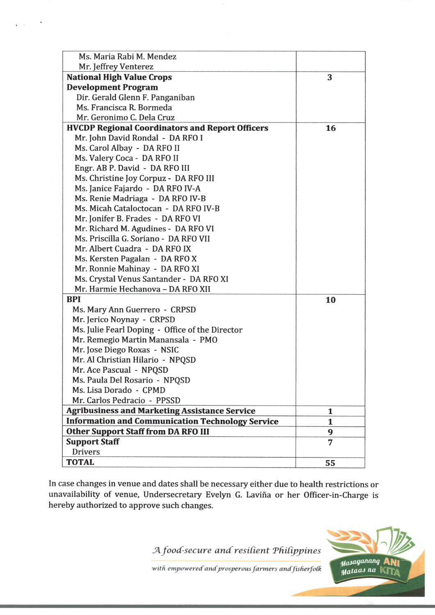| Ms. Maria Rabi M. Mendez                                |    |
|---------------------------------------------------------|----|
| Mr. Jeffrey Venterez                                    |    |
| <b>National High Value Crops</b>                        | 3  |
| <b>Development Program</b>                              |    |
| Dir. Gerald Glenn F. Panganiban                         |    |
| Ms. Francisca R. Bormeda                                |    |
| Mr. Geronimo C. Dela Cruz                               |    |
| <b>HVCDP Regional Coordinators and Report Officers</b>  | 16 |
| Mr. John David Rondal - DA RFO I                        |    |
| Ms. Carol Albay - DA RFO II                             |    |
| Ms. Valery Coca - DA RFO II                             |    |
| Engr. AB P. David - DA RFO III                          |    |
| Ms. Christine Joy Corpuz - DA RFO III                   |    |
| Ms. Janice Fajardo - DA RFO IV-A                        |    |
| Ms. Renie Madriaga - DA RFO IV-B                        |    |
| Ms. Micah Cataloctocan - DA RFO IV-B                    |    |
| Mr. Jonifer B. Frades - DA RFO VI                       |    |
| Mr. Richard M. Agudines - DA RFO VI                     |    |
| Ms. Priscilla G. Soriano - DA RFO VII                   |    |
| Mr. Albert Cuadra - DA RFO IX                           |    |
| Ms. Kersten Pagalan - DA RFO X                          |    |
| Mr. Ronnie Mahinay - DA RFO XI                          |    |
| Ms. Crystal Venus Santander - DA RFO XI                 |    |
| Mr. Harmie Hechanova - DA RFO XII                       |    |
| <b>BPI</b>                                              | 10 |
| Ms. Mary Ann Guerrero - CRPSD                           |    |
| Mr. Jerico Noynay - CRPSD                               |    |
| Ms. Julie Fearl Doping - Office of the Director         |    |
| Mr. Remegio Martin Manansala - PMO                      |    |
| Mr. Jose Diego Roxas - NSIC                             |    |
| Mr. Al Christian Hilario - NPQSD                        |    |
| Mr. Ace Pascual - NPQSD                                 |    |
| Ms. Paula Del Rosario - NPQSD                           |    |
| Ms. Lisa Dorado - CPMD                                  |    |
| Mr. Carlos Pedracio - PPSSD                             |    |
| <b>Agribusiness and Marketing Assistance Service</b>    | 1  |
| <b>Information and Communication Technology Service</b> | 1  |
| <b>Other Support Staff from DA RFO III</b>              | 9  |
| <b>Support Staff</b>                                    | 7  |
| <b>Drivers</b>                                          |    |
| <b>TOTAL</b>                                            | 55 |

 $\sim$   $\sim$  $\sim$ 

> In case changes in venue and dates shall be necessary either due to health restrictions or unavailability of venue, Undersecretary Evelyn G. Lavina or her Officer-in-Charge is hereby authorized to approve such changes.

> > *JA. food-secure and resident PftiCippines*



with empowered and prosperous farmers and fisherfolk